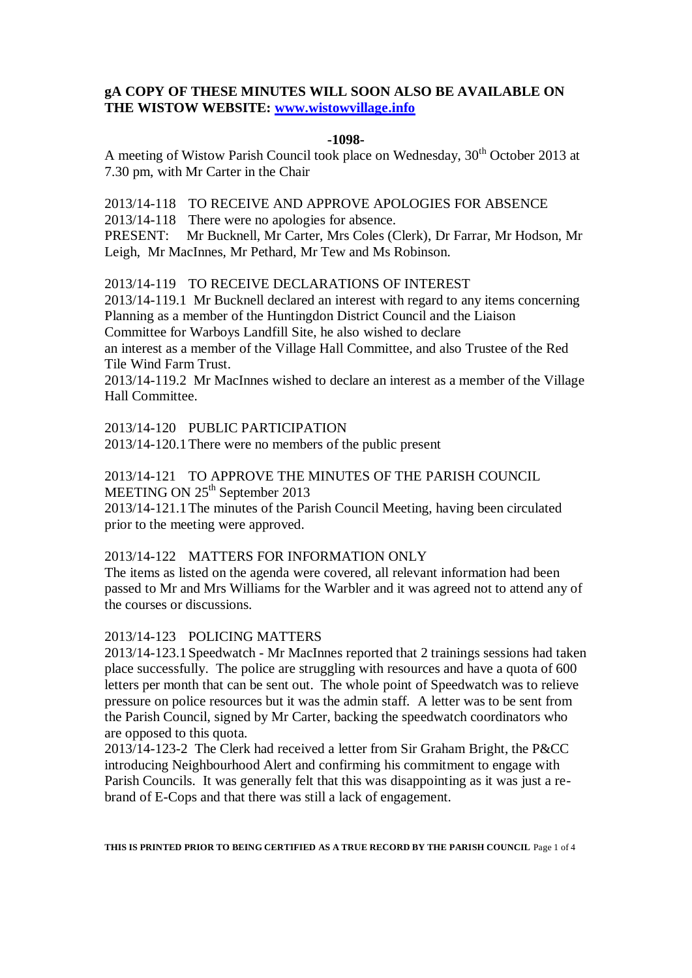# **gA COPY OF THESE MINUTES WILL SOON ALSO BE AVAILABLE ON THE WISTOW WEBSITE: [www.wistowvillage.info](http://www.wistowvillage.info/)**

#### **-1098-**

A meeting of Wistow Parish Council took place on Wednesday, 30<sup>th</sup> October 2013 at 7.30 pm, with Mr Carter in the Chair

2013/14-118 TO RECEIVE AND APPROVE APOLOGIES FOR ABSENCE

2013/14-118 There were no apologies for absence.

PRESENT: Mr Bucknell, Mr Carter, Mrs Coles (Clerk), Dr Farrar, Mr Hodson, Mr Leigh, Mr MacInnes, Mr Pethard, Mr Tew and Ms Robinson.

2013/14-119 TO RECEIVE DECLARATIONS OF INTEREST

2013/14-119.1 Mr Bucknell declared an interest with regard to any items concerning Planning as a member of the Huntingdon District Council and the Liaison Committee for Warboys Landfill Site, he also wished to declare

an interest as a member of the Village Hall Committee, and also Trustee of the Red Tile Wind Farm Trust.

2013/14-119.2 Mr MacInnes wished to declare an interest as a member of the Village Hall Committee.

2013/14-120 PUBLIC PARTICIPATION

2013/14-120.1There were no members of the public present

2013/14-121 TO APPROVE THE MINUTES OF THE PARISH COUNCIL MEETING ON 25<sup>th</sup> September 2013

2013/14-121.1The minutes of the Parish Council Meeting, having been circulated prior to the meeting were approved.

## 2013/14-122 MATTERS FOR INFORMATION ONLY

The items as listed on the agenda were covered, all relevant information had been passed to Mr and Mrs Williams for the Warbler and it was agreed not to attend any of the courses or discussions.

## 2013/14-123 POLICING MATTERS

2013/14-123.1Speedwatch - Mr MacInnes reported that 2 trainings sessions had taken place successfully. The police are struggling with resources and have a quota of 600 letters per month that can be sent out. The whole point of Speedwatch was to relieve pressure on police resources but it was the admin staff. A letter was to be sent from the Parish Council, signed by Mr Carter, backing the speedwatch coordinators who are opposed to this quota.

2013/14-123-2 The Clerk had received a letter from Sir Graham Bright, the P&CC introducing Neighbourhood Alert and confirming his commitment to engage with Parish Councils. It was generally felt that this was disappointing as it was just a rebrand of E-Cops and that there was still a lack of engagement.

**THIS IS PRINTED PRIOR TO BEING CERTIFIED AS A TRUE RECORD BY THE PARISH COUNCIL** Page 1 of 4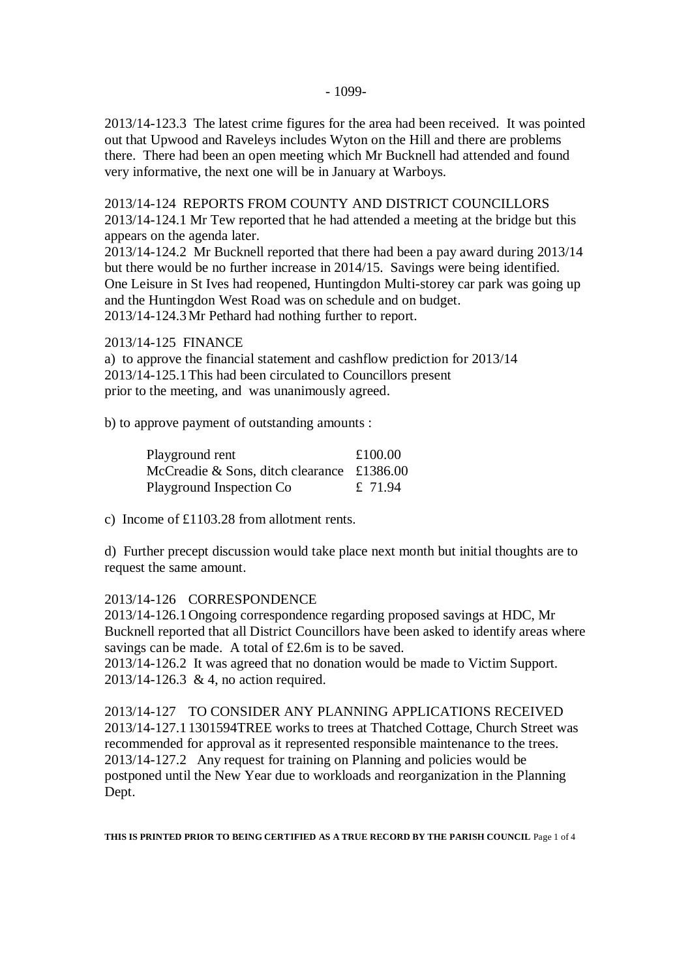2013/14-123.3 The latest crime figures for the area had been received. It was pointed out that Upwood and Raveleys includes Wyton on the Hill and there are problems there. There had been an open meeting which Mr Bucknell had attended and found very informative, the next one will be in January at Warboys.

2013/14-124 REPORTS FROM COUNTY AND DISTRICT COUNCILLORS

2013/14-124.1 Mr Tew reported that he had attended a meeting at the bridge but this appears on the agenda later.

2013/14-124.2 Mr Bucknell reported that there had been a pay award during 2013/14 but there would be no further increase in 2014/15. Savings were being identified. One Leisure in St Ives had reopened, Huntingdon Multi-storey car park was going up and the Huntingdon West Road was on schedule and on budget. 2013/14-124.3Mr Pethard had nothing further to report.

2013/14-125 FINANCE

a) to approve the financial statement and cashflow prediction for 2013/14 2013/14-125.1This had been circulated to Councillors present prior to the meeting, and was unanimously agreed.

b) to approve payment of outstanding amounts :

| Playground rent                                           | £100.00 |
|-----------------------------------------------------------|---------|
| McCreadie & Sons, ditch clearance $\text{\pounds}1386.00$ |         |
| Playground Inspection Co                                  | £ 71.94 |

c) Income of £1103.28 from allotment rents.

d) Further precept discussion would take place next month but initial thoughts are to request the same amount.

## 2013/14-126 CORRESPONDENCE

2013/14-126.1Ongoing correspondence regarding proposed savings at HDC, Mr Bucknell reported that all District Councillors have been asked to identify areas where savings can be made. A total of £2.6m is to be saved.

2013/14-126.2 It was agreed that no donation would be made to Victim Support. 2013/14-126.3 & 4, no action required.

2013/14-127 TO CONSIDER ANY PLANNING APPLICATIONS RECEIVED 2013/14-127.11301594TREE works to trees at Thatched Cottage, Church Street was recommended for approval as it represented responsible maintenance to the trees. 2013/14-127.2 Any request for training on Planning and policies would be postponed until the New Year due to workloads and reorganization in the Planning Dept.

**THIS IS PRINTED PRIOR TO BEING CERTIFIED AS A TRUE RECORD BY THE PARISH COUNCIL** Page 1 of 4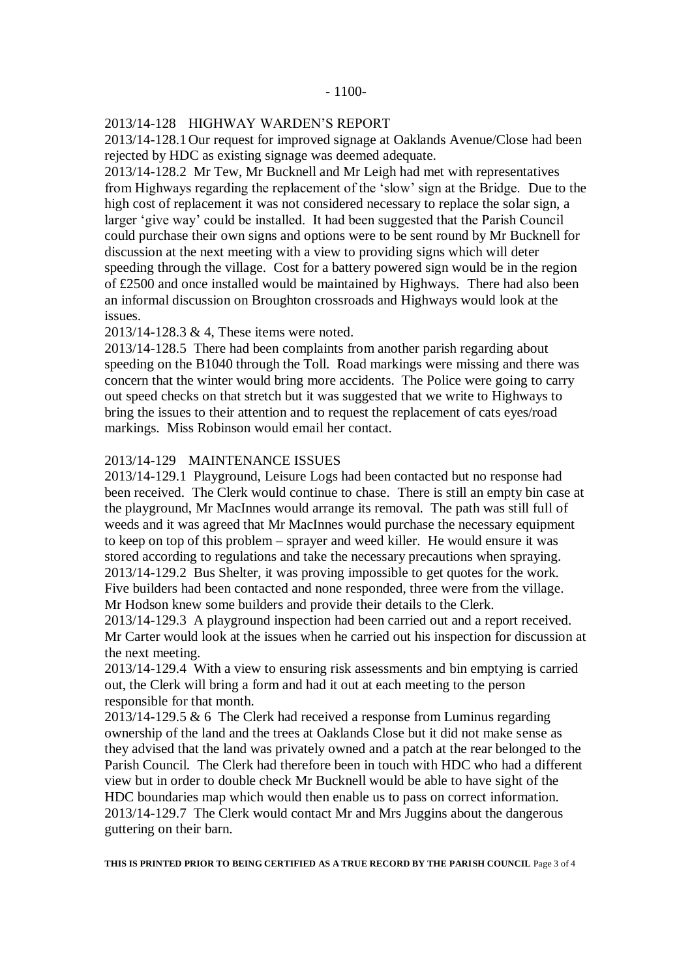#### 2013/14-128 HIGHWAY WARDEN'S REPORT

2013/14-128.1Our request for improved signage at Oaklands Avenue/Close had been rejected by HDC as existing signage was deemed adequate.

2013/14-128.2 Mr Tew, Mr Bucknell and Mr Leigh had met with representatives from Highways regarding the replacement of the 'slow' sign at the Bridge. Due to the high cost of replacement it was not considered necessary to replace the solar sign, a larger 'give way' could be installed. It had been suggested that the Parish Council could purchase their own signs and options were to be sent round by Mr Bucknell for discussion at the next meeting with a view to providing signs which will deter speeding through the village. Cost for a battery powered sign would be in the region of £2500 and once installed would be maintained by Highways. There had also been an informal discussion on Broughton crossroads and Highways would look at the issues.

2013/14-128.3 & 4, These items were noted.

2013/14-128.5 There had been complaints from another parish regarding about speeding on the B1040 through the Toll. Road markings were missing and there was concern that the winter would bring more accidents. The Police were going to carry out speed checks on that stretch but it was suggested that we write to Highways to bring the issues to their attention and to request the replacement of cats eyes/road markings. Miss Robinson would email her contact.

#### 2013/14-129 MAINTENANCE ISSUES

2013/14-129.1 Playground, Leisure Logs had been contacted but no response had been received. The Clerk would continue to chase. There is still an empty bin case at the playground, Mr MacInnes would arrange its removal. The path was still full of weeds and it was agreed that Mr MacInnes would purchase the necessary equipment to keep on top of this problem – sprayer and weed killer. He would ensure it was stored according to regulations and take the necessary precautions when spraying. 2013/14-129.2 Bus Shelter, it was proving impossible to get quotes for the work. Five builders had been contacted and none responded, three were from the village. Mr Hodson knew some builders and provide their details to the Clerk.

2013/14-129.3 A playground inspection had been carried out and a report received. Mr Carter would look at the issues when he carried out his inspection for discussion at the next meeting.

2013/14-129.4 With a view to ensuring risk assessments and bin emptying is carried out, the Clerk will bring a form and had it out at each meeting to the person responsible for that month.

 $2013/14-129.5 \& 6$  The Clerk had received a response from Luminus regarding ownership of the land and the trees at Oaklands Close but it did not make sense as they advised that the land was privately owned and a patch at the rear belonged to the Parish Council. The Clerk had therefore been in touch with HDC who had a different view but in order to double check Mr Bucknell would be able to have sight of the HDC boundaries map which would then enable us to pass on correct information. 2013/14-129.7 The Clerk would contact Mr and Mrs Juggins about the dangerous guttering on their barn.

**THIS IS PRINTED PRIOR TO BEING CERTIFIED AS A TRUE RECORD BY THE PARISH COUNCIL** Page 3 of 4